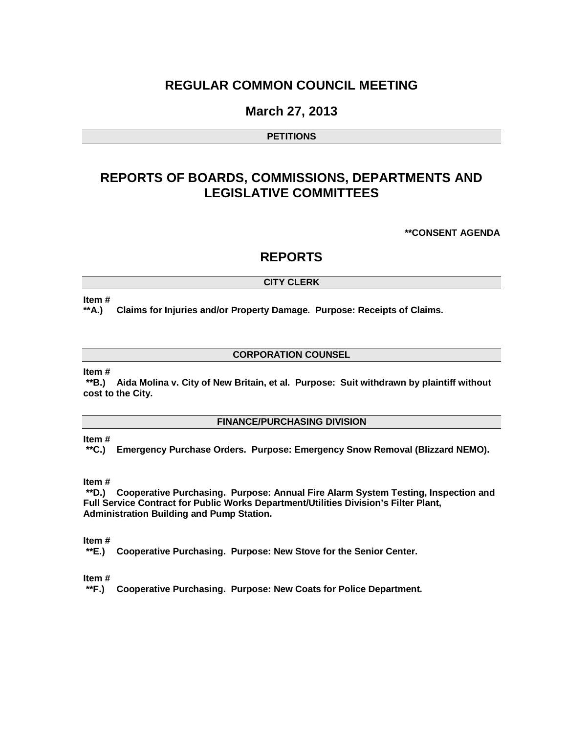# **REGULAR COMMON COUNCIL MEETING**

# **March 27, 2013**

### **PETITIONS**

# **REPORTS OF BOARDS, COMMISSIONS, DEPARTMENTS AND LEGISLATIVE COMMITTEES**

**\*\*CONSENT AGENDA**

# **REPORTS**

### **CITY CLERK**

#### **Item #**

**\*\*A.) Claims for Injuries and/or Property Damage. Purpose: Receipts of Claims.**

### **CORPORATION COUNSEL**

#### **Item #**

**\*\*B.) Aida Molina v. City of New Britain, et al. Purpose: Suit withdrawn by plaintiff without cost to the City.**

### **FINANCE/PURCHASING DIVISION**

### **Item #**

**\*\*C.) Emergency Purchase Orders. Purpose: Emergency Snow Removal (Blizzard NEMO).**

#### **Item #**

**\*\*D.) Cooperative Purchasing. Purpose: Annual Fire Alarm System Testing, Inspection and Full Service Contract for Public Works Department/Utilities Division's Filter Plant, Administration Building and Pump Station.**

#### **Item #**

**\*\*E.) Cooperative Purchasing. Purpose: New Stove for the Senior Center.** 

#### **Item #**

**\*\*F.) Cooperative Purchasing. Purpose: New Coats for Police Department.**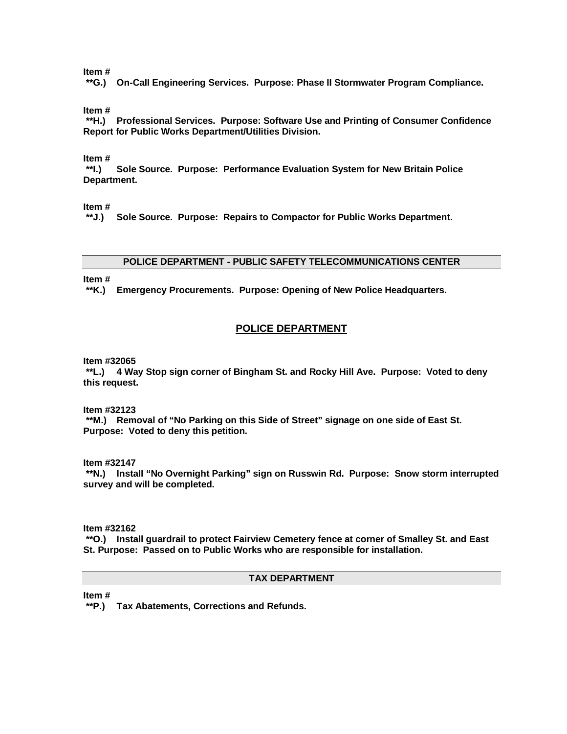#### **Item #**

**\*\*G.) On-Call Engineering Services. Purpose: Phase II Stormwater Program Compliance.**

**Item #**

**\*\*H.) Professional Services. Purpose: Software Use and Printing of Consumer Confidence Report for Public Works Department/Utilities Division.**

**Item #**

**\*\*I.) Sole Source. Purpose: Performance Evaluation System for New Britain Police Department.**

**Item #**

**\*\*J.) Sole Source. Purpose: Repairs to Compactor for Public Works Department.**

#### **POLICE DEPARTMENT - PUBLIC SAFETY TELECOMMUNICATIONS CENTER**

**Item #**

**\*\*K.) Emergency Procurements. Purpose: Opening of New Police Headquarters.**

### **POLICE DEPARTMENT**

**Item #32065**

**\*\*L.) 4 Way Stop sign corner of Bingham St. and Rocky Hill Ave. Purpose: Voted to deny this request.**

**Item #32123**

**\*\*M.) Removal of "No Parking on this Side of Street" signage on one side of East St. Purpose: Voted to deny this petition.** 

**Item #32147**

**\*\*N.) Install "No Overnight Parking" sign on Russwin Rd. Purpose: Snow storm interrupted survey and will be completed.**

**Item #32162**

**\*\*O.) Install guardrail to protect Fairview Cemetery fence at corner of Smalley St. and East St. Purpose: Passed on to Public Works who are responsible for installation.**

## **TAX DEPARTMENT**

**Item #**

**\*\*P.) Tax Abatements, Corrections and Refunds.**